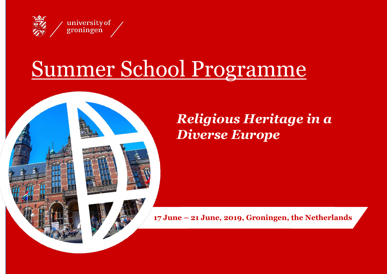

## Summer School Programme





**17 June – 21 June***,* **2019, Groningen, the Netherlands**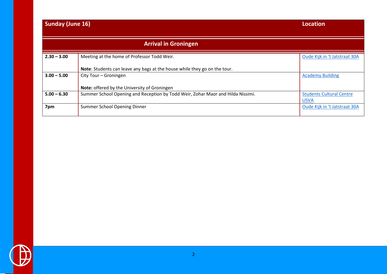## **Sunday (June 16) Location**

|               | <b>Arrival in Groningen</b>                                                     |                                 |
|---------------|---------------------------------------------------------------------------------|---------------------------------|
| $2.30 - 3.00$ | Meeting at the home of Professor Todd Weir.                                     | Oude Kijk in 't Jatstraat 30A   |
|               | Note: Students can leave any bags at the house while they go on the tour.       |                                 |
| $3.00 - 5.00$ | City Tour - Groningen                                                           | <b>Academy Building</b>         |
|               | Note: offered by the University of Groningen                                    |                                 |
| $5.00 - 6.30$ | Summer School Opening and Reception by Todd Weir, Zohar Maor and Hilda Nissimi. | <b>Students Cultural Centre</b> |
|               |                                                                                 | <b>USVA</b>                     |
| 7pm           | Summer School Opening Dinner                                                    | Oude Kijk in 't Jatstraat 30A   |
|               |                                                                                 |                                 |

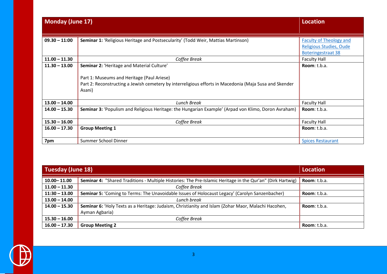| <b>Monday (June 17)</b> |                                                                                                                                                                                                              | <b>Location</b>                                                                        |
|-------------------------|--------------------------------------------------------------------------------------------------------------------------------------------------------------------------------------------------------------|----------------------------------------------------------------------------------------|
| $09.30 - 11:00$         | Seminar 1: 'Religious Heritage and Postsecularity' (Todd Weir, Mattias Martinson)                                                                                                                            | <b>Faculty of Theology and</b><br>Religious Studies, Oude<br><b>Boteringestraat 38</b> |
| $11.00 - 11.30$         | Coffee Break                                                                                                                                                                                                 | <b>Faculty Hall</b>                                                                    |
| $11.30 - 13.00$         | Seminar 2: 'Heritage and Material Culture'<br>Part 1: Museums and Heritage (Paul Ariese)<br>Part 2: Reconstructing a Jewish cemetery by interreligious efforts in Macedonia (Maja Susa and Skender<br>Asani) | Room: t.b.a.                                                                           |
| $13.00 - 14.00$         | <b>Lunch Break</b>                                                                                                                                                                                           | <b>Faculty Hall</b>                                                                    |
| $14.00 - 15.30$         | Seminar 3: 'Populism and Religious Heritage: the Hungarian Example' (Arpad von Klimo, Doron Avraham)                                                                                                         | Room: t.b.a.                                                                           |
| $15.30 - 16.00$         | Coffee Break                                                                                                                                                                                                 | <b>Faculty Hall</b>                                                                    |
| $16.00 - 17.30$         | <b>Group Meeting 1</b>                                                                                                                                                                                       | Room: t.b.a.                                                                           |
| 7pm                     | Summer School Dinner                                                                                                                                                                                         | <b>Spices Restaurant</b>                                                               |

| <b>Tuesday (June 18)</b> |                                                                                                            | <b>Location</b>      |
|--------------------------|------------------------------------------------------------------------------------------------------------|----------------------|
| $10.00 - 11.00$          | Seminar 4: "Shared Traditions - Multiple Histories: The Pre-Islamic Heritage in the Qur'an" (Dirk Hartwig) | <b>Room</b> : t.b.a. |
| $11.00 - 11.30$          | Coffee Break                                                                                               |                      |
| $11:30 - 13.00$          | Seminar 5: 'Coming to Terms: The Unavoidable Issues of Holocaust Legacy' (Carolyn Sanzenbacher)            | Room: t.b.a.         |
| $13.00 - 14.00$          | Lunch break                                                                                                |                      |
| $14.00 - 15.30$          | Seminar 6: 'Holy Texts as a Heritage: Judaism, Christianity and Islam (Zohar Maor, Malachi Hacohen,        | Room: $t.b.a.$       |
|                          | Ayman Agbaria)                                                                                             |                      |
| $15.30 - 16.00$          | Coffee Break                                                                                               |                      |
| $16.00 - 17.30$          | <b>Group Meeting 2</b>                                                                                     | Room: t.b.a.         |

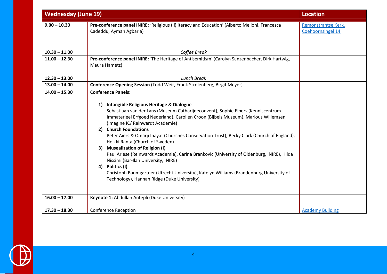| <b>Wednesday (June 19)</b> |                                                                                                                                                                                                                                                                                                                                                                                                                                                                                                                                                                                                                                                                                                                                                                                          | <b>Location</b>                          |
|----------------------------|------------------------------------------------------------------------------------------------------------------------------------------------------------------------------------------------------------------------------------------------------------------------------------------------------------------------------------------------------------------------------------------------------------------------------------------------------------------------------------------------------------------------------------------------------------------------------------------------------------------------------------------------------------------------------------------------------------------------------------------------------------------------------------------|------------------------------------------|
| $9.00 - 10.30$             | Pre-conference panel INIRE: 'Religious (II) literacy and Education' (Alberto Melloni, Francesca<br>Cadeddu, Ayman Agbaria)                                                                                                                                                                                                                                                                                                                                                                                                                                                                                                                                                                                                                                                               | Remonstrantse Kerk,<br>Coehoornsingel 14 |
| $10.30 - 11.00$            | Coffee Break                                                                                                                                                                                                                                                                                                                                                                                                                                                                                                                                                                                                                                                                                                                                                                             |                                          |
| $11.00 - 12.30$            | Pre-conference panel INIRE: 'The Heritage of Antisemitism' (Carolyn Sanzenbacher, Dirk Hartwig,<br>Maura Hametz)                                                                                                                                                                                                                                                                                                                                                                                                                                                                                                                                                                                                                                                                         |                                          |
| $12.30 - 13.00$            | <b>Lunch Break</b>                                                                                                                                                                                                                                                                                                                                                                                                                                                                                                                                                                                                                                                                                                                                                                       |                                          |
| $13.00 - 14.00$            | Conference Opening Session (Todd Weir, Frank Strolenberg, Birgit Meyer)                                                                                                                                                                                                                                                                                                                                                                                                                                                                                                                                                                                                                                                                                                                  |                                          |
| $14.00 - 15.30$            | <b>Conference Panels:</b><br>1) Intangible Religious Heritage & Dialogue<br>Sebastiaan van der Lans (Museum Catharijneconvent), Sophie Elpers (Kenniscentrum<br>Immaterieel Erfgoed Nederland), Carolien Croon (Bijbels Museum), Marlous Willemsen<br>(Imagine IC/ Reinwardt Academie)<br>2) Church Foundations<br>Peter Aiers & Omarji Inayat (Churches Conservation Trust), Becky Clark (Church of England),<br>Heikki Ranta (Church of Sweden)<br>3) Musealization of Religion (I)<br>Paul Ariese (Reinwardt Academie), Carina Brankovic (University of Oldenburg, INIRE), Hilda<br>Nissimi (Bar-Ilan University, INIRE)<br>4) Politics (I)<br>Christoph Baumgartner (Utrecht University), Katelyn Williams (Brandenburg University of<br>Technology), Hannah Ridge (Duke University) |                                          |
| $16.00 - 17.00$            | Keynote 1: Abdullah Antepli (Duke University)                                                                                                                                                                                                                                                                                                                                                                                                                                                                                                                                                                                                                                                                                                                                            |                                          |
| $17.30 - 18.30$            | <b>Conference Reception</b>                                                                                                                                                                                                                                                                                                                                                                                                                                                                                                                                                                                                                                                                                                                                                              | <b>Academy Building</b>                  |

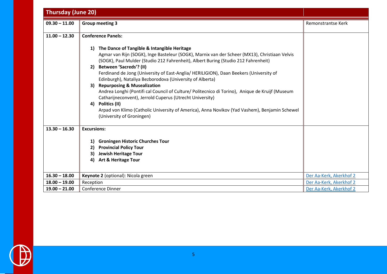| <b>Thursday (June 20)</b> |                                                                                                                                                                                                                                                                                                                                                                                                                                                                                                                                                                                                                                                                                                                                                                                       |                         |
|---------------------------|---------------------------------------------------------------------------------------------------------------------------------------------------------------------------------------------------------------------------------------------------------------------------------------------------------------------------------------------------------------------------------------------------------------------------------------------------------------------------------------------------------------------------------------------------------------------------------------------------------------------------------------------------------------------------------------------------------------------------------------------------------------------------------------|-------------------------|
| $09.30 - 11.00$           | <b>Group meeting 3</b>                                                                                                                                                                                                                                                                                                                                                                                                                                                                                                                                                                                                                                                                                                                                                                | Remonstrantse Kerk      |
| $11.00 - 12.30$           | <b>Conference Panels:</b>                                                                                                                                                                                                                                                                                                                                                                                                                                                                                                                                                                                                                                                                                                                                                             |                         |
|                           | The Dance of Tangible & Intangible Heritage<br>1)<br>Agmar van Rijn (SOGK), Inge Basteleur (SOGK), Marnix van der Scheer (MX13), Christiaan Velvis<br>(SOGK), Paul Mulder (Studio 212 Fahrenheit), Albert Buring (Studio 212 Fahrenheit)<br>Between 'Sacreds'? (II)<br>2)<br>Ferdinand de Jong (University of East-Anglia/ HERILIGION), Daan Beekers (University of<br>Edinburgh), Nataliya Bezborodova (University of Alberta)<br>3) Repurposing & Musealization<br>Andrea Longhi (Pontifi cal Council of Culture/ Politecnico di Torino), Anique de Kruijf (Museum<br>Catharijneconvent), Jerrold Cuperus (Utrecht University)<br>Politics (II)<br>4)<br>Arpad von Klimo (Catholic University of America), Anna Novikov (Yad Vashem), Benjamin Schewel<br>(University of Groningen) |                         |
| $13.30 - 16.30$           | <b>Excursions:</b>                                                                                                                                                                                                                                                                                                                                                                                                                                                                                                                                                                                                                                                                                                                                                                    |                         |
|                           | <b>Groningen Historic Churches Tour</b><br>1)<br><b>Provincial Policy Tour</b><br>2)<br><b>Jewish Heritage Tour</b><br>3)<br><b>Art &amp; Heritage Tour</b><br>4)                                                                                                                                                                                                                                                                                                                                                                                                                                                                                                                                                                                                                     |                         |
| $16.30 - 18.00$           | Keynote 2 (optional): Nicola green                                                                                                                                                                                                                                                                                                                                                                                                                                                                                                                                                                                                                                                                                                                                                    | Der Aa-Kerk, Akerkhof 2 |
| $18.00 - 19.00$           | Reception                                                                                                                                                                                                                                                                                                                                                                                                                                                                                                                                                                                                                                                                                                                                                                             | Der Aa-Kerk, Akerkhof 2 |
| $19.00 - 21.00$           | <b>Conference Dinner</b>                                                                                                                                                                                                                                                                                                                                                                                                                                                                                                                                                                                                                                                                                                                                                              | Der Aa-Kerk, Akerkhof 2 |